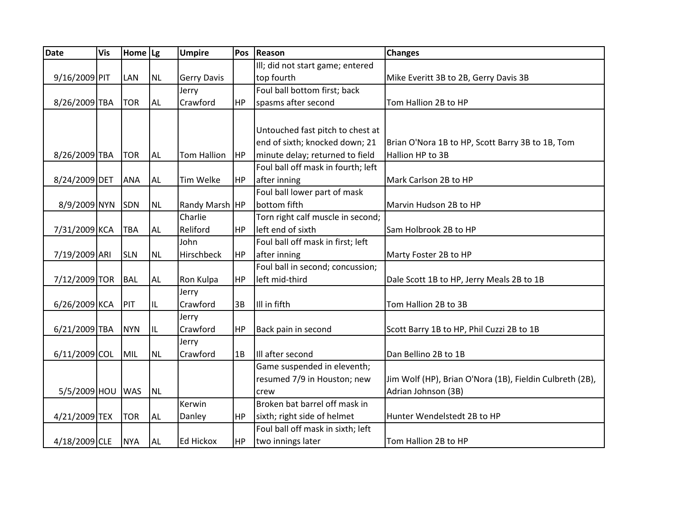| <b>Date</b>      | <b>Vis</b> | Home   Lg  |           | <b>Umpire</b>      | Pos       | Reason                             | <b>Changes</b>                                           |
|------------------|------------|------------|-----------|--------------------|-----------|------------------------------------|----------------------------------------------------------|
|                  |            |            |           |                    |           | Ill; did not start game; entered   |                                                          |
| 9/16/2009 PIT    |            | <b>LAN</b> | <b>NL</b> | <b>Gerry Davis</b> |           | top fourth                         | Mike Everitt 3B to 2B, Gerry Davis 3B                    |
|                  |            |            |           | Jerry              |           | Foul ball bottom first; back       |                                                          |
| 8/26/2009 TBA    |            | <b>TOR</b> | <b>AL</b> | Crawford           | HP        | spasms after second                | Tom Hallion 2B to HP                                     |
|                  |            |            |           |                    |           |                                    |                                                          |
|                  |            |            |           |                    |           | Untouched fast pitch to chest at   |                                                          |
|                  |            |            |           |                    |           | end of sixth; knocked down; 21     | Brian O'Nora 1B to HP, Scott Barry 3B to 1B, Tom         |
| 8/26/2009 TBA    |            | <b>TOR</b> | <b>AL</b> | <b>Tom Hallion</b> | HP)       | minute delay; returned to field    | Hallion HP to 3B                                         |
|                  |            |            |           |                    |           | Foul ball off mask in fourth; left |                                                          |
| 8/24/2009 DET    |            | <b>ANA</b> | <b>AL</b> | <b>Tim Welke</b>   | HP        | after inning                       | Mark Carlson 2B to HP                                    |
|                  |            |            |           |                    |           | Foul ball lower part of mask       |                                                          |
| 8/9/2009 NYN     |            | <b>SDN</b> | <b>NL</b> | Randy Marsh HP     |           | bottom fifth                       | Marvin Hudson 2B to HP                                   |
|                  |            |            |           | Charlie            |           | Torn right calf muscle in second;  |                                                          |
| 7/31/2009 KCA    |            | <b>TBA</b> | AL        | Reliford           | HP        | left end of sixth                  | Sam Holbrook 2B to HP                                    |
|                  |            |            |           | John               |           | Foul ball off mask in first; left  |                                                          |
| 7/19/2009 ARI    |            | <b>SLN</b> | <b>NL</b> | Hirschbeck         | HP        | after inning                       | Marty Foster 2B to HP                                    |
|                  |            |            |           |                    |           | Foul ball in second; concussion;   |                                                          |
| 7/12/2009 TOR    |            | <b>BAL</b> | AL        | Ron Kulpa          | HP        | left mid-third                     | Dale Scott 1B to HP, Jerry Meals 2B to 1B                |
|                  |            |            |           | Jerry              |           |                                    |                                                          |
| 6/26/2009 KCA    |            | PIT        | IL        | Crawford           | 3B        | III in fifth                       | Tom Hallion 2B to 3B                                     |
|                  |            |            |           | Jerry              |           |                                    |                                                          |
| 6/21/2009 TBA    |            | <b>NYN</b> | IL        | Crawford           | <b>HP</b> | Back pain in second                | Scott Barry 1B to HP, Phil Cuzzi 2B to 1B                |
|                  |            |            |           | Jerry              |           |                                    |                                                          |
| 6/11/2009 COL    |            | MIL        | <b>NL</b> | Crawford           | 1B        | Ill after second                   | Dan Bellino 2B to 1B                                     |
|                  |            |            |           |                    |           | Game suspended in eleventh;        |                                                          |
|                  |            |            |           |                    |           | resumed 7/9 in Houston; new        | Jim Wolf (HP), Brian O'Nora (1B), Fieldin Culbreth (2B), |
| 5/5/2009 HOU WAS |            |            | <b>NL</b> |                    |           | crew                               | Adrian Johnson (3B)                                      |
|                  |            |            |           | Kerwin             |           | Broken bat barrel off mask in      |                                                          |
| 4/21/2009 TEX    |            | <b>TOR</b> | <b>AL</b> | Danley             | <b>HP</b> | sixth; right side of helmet        | Hunter Wendelstedt 2B to HP                              |
|                  |            |            |           |                    |           | Foul ball off mask in sixth; left  |                                                          |
| 4/18/2009 CLE    |            | <b>NYA</b> | <b>AL</b> | <b>Ed Hickox</b>   | HP        | two innings later                  | Tom Hallion 2B to HP                                     |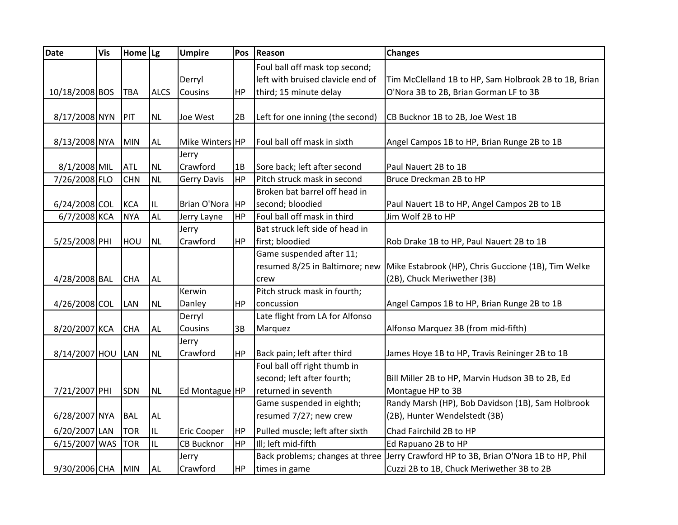| <b>Date</b>       | <b>Vis</b> | Home $\lg$ |             | <b>Umpire</b>      | Pos       | Reason                            | <b>Changes</b>                                        |
|-------------------|------------|------------|-------------|--------------------|-----------|-----------------------------------|-------------------------------------------------------|
|                   |            |            |             |                    |           | Foul ball off mask top second;    |                                                       |
|                   |            |            |             | Derryl             |           | left with bruised clavicle end of | Tim McClelland 1B to HP, Sam Holbrook 2B to 1B, Brian |
| 10/18/2008 BOS    |            | TBA        | <b>ALCS</b> | Cousins            | HP        | third; 15 minute delay            | O'Nora 3B to 2B, Brian Gorman LF to 3B                |
|                   |            |            |             |                    |           |                                   |                                                       |
| 8/17/2008 NYN     |            | PIT        | <b>NL</b>   | Joe West           | 2B        | Left for one inning (the second)  | CB Bucknor 1B to 2B, Joe West 1B                      |
|                   |            |            |             |                    |           |                                   |                                                       |
| 8/13/2008 NYA     |            | <b>MIN</b> | <b>AL</b>   | Mike Winters HP    |           | Foul ball off mask in sixth       | Angel Campos 1B to HP, Brian Runge 2B to 1B           |
|                   |            |            |             | Jerry              |           |                                   |                                                       |
| 8/1/2008 MIL      |            | <b>ATL</b> | <b>NL</b>   | Crawford           | 1B        | Sore back; left after second      | Paul Nauert 2B to 1B                                  |
| 7/26/2008 FLO     |            | <b>CHN</b> | <b>NL</b>   | <b>Gerry Davis</b> | <b>HP</b> | Pitch struck mask in second       | Bruce Dreckman 2B to HP                               |
|                   |            |            |             |                    |           | Broken bat barrel off head in     |                                                       |
| 6/24/2008 COL     |            | <b>KCA</b> | IL          | Brian O'Nora       | <b>HP</b> | second; bloodied                  | Paul Nauert 1B to HP, Angel Campos 2B to 1B           |
| 6/7/2008 KCA      |            | <b>NYA</b> | <b>AL</b>   | Jerry Layne        | HP        | Foul ball off mask in third       | Jim Wolf 2B to HP                                     |
|                   |            |            |             | Jerry              |           | Bat struck left side of head in   |                                                       |
| 5/25/2008 PHI     |            | HOU        | <b>NL</b>   | Crawford           | HP        | first; bloodied                   | Rob Drake 1B to HP, Paul Nauert 2B to 1B              |
|                   |            |            |             |                    |           | Game suspended after 11;          |                                                       |
|                   |            |            |             |                    |           | resumed 8/25 in Baltimore; new    | Mike Estabrook (HP), Chris Guccione (1B), Tim Welke   |
| 4/28/2008 BAL     |            | <b>CHA</b> | <b>AL</b>   |                    |           | crew                              | (2B), Chuck Meriwether (3B)                           |
|                   |            |            |             | Kerwin             |           | Pitch struck mask in fourth;      |                                                       |
| 4/26/2008 COL     |            | LAN        | <b>NL</b>   | Danley             | HP        | concussion                        | Angel Campos 1B to HP, Brian Runge 2B to 1B           |
|                   |            |            |             | Derryl             |           | Late flight from LA for Alfonso   |                                                       |
| 8/20/2007 KCA     |            | <b>CHA</b> | AL          | Cousins            | 3B        | Marquez                           | Alfonso Marquez 3B (from mid-fifth)                   |
|                   |            |            |             | Jerry              |           |                                   |                                                       |
| 8/14/2007 HOU LAN |            |            | <b>NL</b>   | Crawford           | HP        | Back pain; left after third       | James Hoye 1B to HP, Travis Reininger 2B to 1B        |
|                   |            |            |             |                    |           | Foul ball off right thumb in      |                                                       |
|                   |            |            |             |                    |           | second; left after fourth;        | Bill Miller 2B to HP, Marvin Hudson 3B to 2B, Ed      |
| 7/21/2007 PHI     |            | SDN        | <b>NL</b>   | Ed Montague HP     |           | returned in seventh               | Montague HP to 3B                                     |
|                   |            |            |             |                    |           | Game suspended in eighth;         | Randy Marsh (HP), Bob Davidson (1B), Sam Holbrook     |
| 6/28/2007 NYA     |            | <b>BAL</b> | <b>AL</b>   |                    |           | resumed 7/27; new crew            | (2B), Hunter Wendelstedt (3B)                         |
| 6/20/2007 LAN     |            | <b>TOR</b> | IL          | <b>Eric Cooper</b> | <b>HP</b> | Pulled muscle; left after sixth   | Chad Fairchild 2B to HP                               |
| 6/15/2007 WAS     |            | <b>TOR</b> | IL          | <b>CB Bucknor</b>  | HP        | Ill; left mid-fifth               | Ed Rapuano 2B to HP                                   |
|                   |            |            |             | Jerry              |           | Back problems; changes at three   | Jerry Crawford HP to 3B, Brian O'Nora 1B to HP, Phil  |
| 9/30/2006 CHA MIN |            |            | <b>AL</b>   | Crawford           | HP        | times in game                     | Cuzzi 2B to 1B, Chuck Meriwether 3B to 2B             |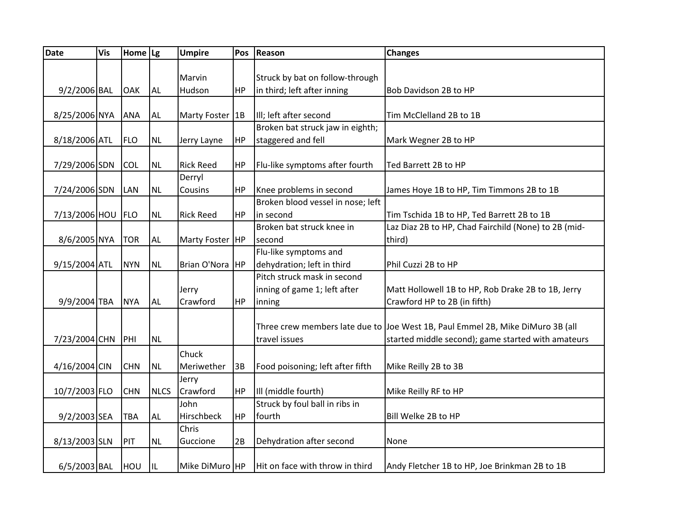| <b>Date</b>   | <b>Vis</b> | Home $ Lg $ |             | <b>Umpire</b>     | Pos       | Reason                            | <b>Changes</b>                                                                 |
|---------------|------------|-------------|-------------|-------------------|-----------|-----------------------------------|--------------------------------------------------------------------------------|
|               |            |             |             |                   |           |                                   |                                                                                |
|               |            |             |             | Marvin            |           | Struck by bat on follow-through   |                                                                                |
| 9/2/2006 BAL  |            | OAK         | <b>AL</b>   | Hudson            | <b>HP</b> | in third; left after inning       | Bob Davidson 2B to HP                                                          |
|               |            |             |             |                   |           |                                   |                                                                                |
| 8/25/2006 NYA |            | <b>ANA</b>  | <b>AL</b>   | Marty Foster   1B |           | III; left after second            | Tim McClelland 2B to 1B                                                        |
|               |            |             |             |                   |           | Broken bat struck jaw in eighth;  |                                                                                |
| 8/18/2006 ATL |            | <b>FLO</b>  | NL          | Jerry Layne       | HP        | staggered and fell                | Mark Wegner 2B to HP                                                           |
|               |            |             |             |                   |           |                                   |                                                                                |
| 7/29/2006 SDN |            | <b>COL</b>  | <b>NL</b>   | <b>Rick Reed</b>  | <b>HP</b> | Flu-like symptoms after fourth    | Ted Barrett 2B to HP                                                           |
|               |            |             |             | Derryl            |           |                                   |                                                                                |
| 7/24/2006 SDN |            | <b>LAN</b>  | <b>NL</b>   | Cousins           | HP        | Knee problems in second           | James Hoye 1B to HP, Tim Timmons 2B to 1B                                      |
|               |            |             |             |                   |           | Broken blood vessel in nose; left |                                                                                |
| 7/13/2006 HOU |            | FLO         | <b>NL</b>   | <b>Rick Reed</b>  | HP        | in second                         | Tim Tschida 1B to HP, Ted Barrett 2B to 1B                                     |
|               |            |             |             |                   |           | Broken bat struck knee in         | Laz Diaz 2B to HP, Chad Fairchild (None) to 2B (mid-                           |
| 8/6/2005 NYA  |            | <b>TOR</b>  | <b>AL</b>   | Marty Foster   HP |           | second                            | third)                                                                         |
|               |            |             |             |                   |           | Flu-like symptoms and             |                                                                                |
| 9/15/2004 ATL |            | <b>NYN</b>  | <b>NL</b>   | Brian O'Nora HP   |           | dehydration; left in third        | Phil Cuzzi 2B to HP                                                            |
|               |            |             |             |                   |           | Pitch struck mask in second       |                                                                                |
|               |            |             |             | Jerry             |           | inning of game 1; left after      | Matt Hollowell 1B to HP, Rob Drake 2B to 1B, Jerry                             |
| 9/9/2004 TBA  |            | <b>NYA</b>  | <b>AL</b>   | Crawford          | <b>HP</b> | inning                            | Crawford HP to 2B (in fifth)                                                   |
|               |            |             |             |                   |           |                                   |                                                                                |
|               |            |             |             |                   |           |                                   | Three crew members late due to Joe West 1B, Paul Emmel 2B, Mike DiMuro 3B (all |
| 7/23/2004 CHN |            | PHI         | <b>NL</b>   |                   |           | travel issues                     | started middle second); game started with amateurs                             |
|               |            |             |             | Chuck             |           |                                   |                                                                                |
| 4/16/2004 CIN |            | <b>CHN</b>  | <b>NL</b>   | Meriwether        | 3B        | Food poisoning; left after fifth  | Mike Reilly 2B to 3B                                                           |
|               |            |             |             | Jerry             |           |                                   |                                                                                |
| 10/7/2003 FLO |            | <b>CHN</b>  | <b>NLCS</b> | Crawford          | HP        | Ill (middle fourth)               | Mike Reilly RF to HP                                                           |
|               |            |             |             | John              |           | Struck by foul ball in ribs in    |                                                                                |
| 9/2/2003 SEA  |            | <b>TBA</b>  | <b>AL</b>   | Hirschbeck        | <b>HP</b> | fourth                            | Bill Welke 2B to HP                                                            |
|               |            |             |             | Chris             |           |                                   |                                                                                |
| 8/13/2003 SLN |            | PIT         | NL.         | Guccione          | 2B        | Dehydration after second          | None                                                                           |
|               |            |             |             |                   |           |                                   |                                                                                |
| 6/5/2003 BAL  |            | HOU         | IL          | Mike DiMuro HP    |           | Hit on face with throw in third   | Andy Fletcher 1B to HP, Joe Brinkman 2B to 1B                                  |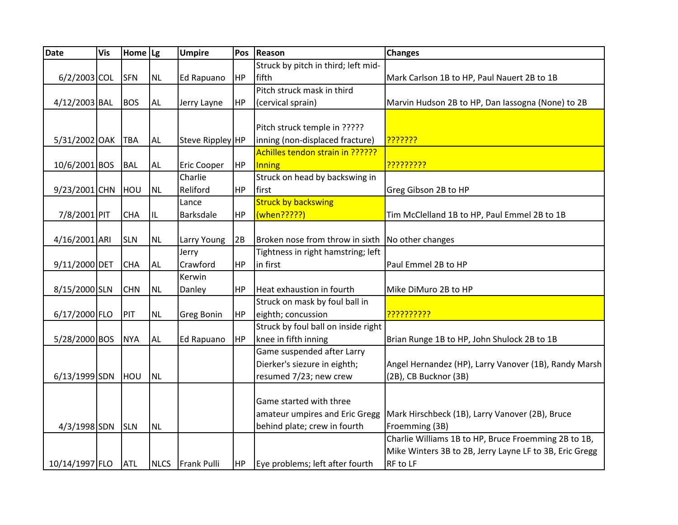| <b>Date</b>       | Vis | Home $\lg$ |             | <b>Umpire</b>      | Pos       | Reason                                             | <b>Changes</b>                                          |
|-------------------|-----|------------|-------------|--------------------|-----------|----------------------------------------------------|---------------------------------------------------------|
|                   |     |            |             |                    |           | Struck by pitch in third; left mid-                |                                                         |
| $6/2/2003$ COL    |     | <b>SFN</b> | <b>NL</b>   | Ed Rapuano         | HP        | fifth                                              | Mark Carlson 1B to HP, Paul Nauert 2B to 1B             |
|                   |     |            |             |                    |           | Pitch struck mask in third                         |                                                         |
| 4/12/2003 BAL     |     | <b>BOS</b> | AL          | Jerry Layne        | HP        | (cervical sprain)                                  | Marvin Hudson 2B to HP, Dan lassogna (None) to 2B       |
|                   |     |            |             |                    |           |                                                    |                                                         |
|                   |     |            |             |                    |           | Pitch struck temple in ?????                       |                                                         |
| 5/31/2002 OAK TBA |     |            | <b>AL</b>   | Steve Rippley HP   |           | inning (non-displaced fracture)                    | <mark>?????????</mark>                                  |
|                   |     |            |             |                    |           | Achilles tendon strain in ??????                   |                                                         |
| 10/6/2001 BOS     |     | <b>BAL</b> | AL          | <b>Eric Cooper</b> | <b>HP</b> | Inning                                             | <mark>?????????</mark>                                  |
|                   |     |            |             | Charlie            |           | Struck on head by backswing in                     |                                                         |
| 9/23/2001 CHN     |     | HOU        | <b>NL</b>   | Reliford           | HP        | first                                              | Greg Gibson 2B to HP                                    |
|                   |     |            |             | Lance              |           | <b>Struck by backswing</b>                         |                                                         |
| 7/8/2001 PIT      |     | <b>CHA</b> | IL          | <b>Barksdale</b>   | HP        | (when?????)                                        | Tim McClelland 1B to HP, Paul Emmel 2B to 1B            |
|                   |     |            |             |                    |           |                                                    |                                                         |
| 4/16/2001 ARI     |     | <b>SLN</b> | <b>NL</b>   | Larry Young        | 2B        | Broken nose from throw in sixth   No other changes |                                                         |
|                   |     |            |             | Jerry              |           | Tightness in right hamstring; left                 |                                                         |
| 9/11/2000 DET     |     | <b>CHA</b> | <b>AL</b>   | Crawford           | <b>HP</b> | in first                                           | Paul Emmel 2B to HP                                     |
|                   |     |            |             | Kerwin             |           |                                                    |                                                         |
| 8/15/2000 SLN     |     | <b>CHN</b> | <b>NL</b>   | Danley             | HP        | Heat exhaustion in fourth                          | Mike DiMuro 2B to HP                                    |
|                   |     |            |             |                    |           | Struck on mask by foul ball in                     |                                                         |
| 6/17/2000 FLO     |     | PIT        | <b>NL</b>   | <b>Greg Bonin</b>  | <b>HP</b> | eighth; concussion                                 | <mark>???????????</mark>                                |
|                   |     |            |             |                    |           | Struck by foul ball on inside right                |                                                         |
| 5/28/2000 BOS     |     | <b>NYA</b> | <b>AL</b>   | Ed Rapuano         | HP        | knee in fifth inning                               | Brian Runge 1B to HP, John Shulock 2B to 1B             |
|                   |     |            |             |                    |           | Game suspended after Larry                         |                                                         |
|                   |     |            |             |                    |           | Dierker's siezure in eighth;                       | Angel Hernandez (HP), Larry Vanover (1B), Randy Marsh   |
| 6/13/1999 SDN     |     | HOU        | <b>NL</b>   |                    |           | resumed 7/23; new crew                             | (2B), CB Bucknor (3B)                                   |
|                   |     |            |             |                    |           |                                                    |                                                         |
|                   |     |            |             |                    |           | Game started with three                            |                                                         |
|                   |     |            |             |                    |           | amateur umpires and Eric Gregg                     | Mark Hirschbeck (1B), Larry Vanover (2B), Bruce         |
| 4/3/1998 SDN      |     | <b>SLN</b> | <b>NL</b>   |                    |           | behind plate; crew in fourth                       | Froemming (3B)                                          |
|                   |     |            |             |                    |           |                                                    | Charlie Williams 1B to HP, Bruce Froemming 2B to 1B,    |
|                   |     |            |             |                    |           |                                                    | Mike Winters 3B to 2B, Jerry Layne LF to 3B, Eric Gregg |
| 10/14/1997 FLO    |     | <b>ATL</b> | <b>NLCS</b> | <b>Frank Pulli</b> | HP        | Eye problems; left after fourth                    | RF to LF                                                |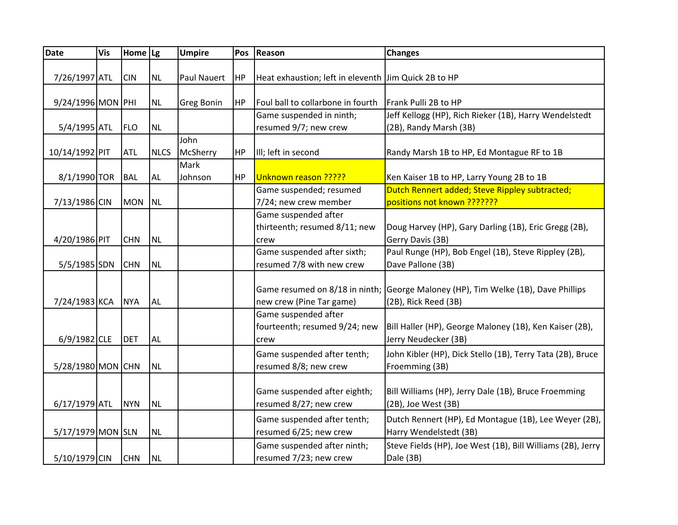| <b>Date</b>       | <b>Vis</b> | Home Lg    |             | <b>Umpire</b>      | Pos       | Reason                                                        | <b>Changes</b>                                                                                            |
|-------------------|------------|------------|-------------|--------------------|-----------|---------------------------------------------------------------|-----------------------------------------------------------------------------------------------------------|
| 7/26/1997 ATL     |            | <b>CIN</b> | <b>NL</b>   | <b>Paul Nauert</b> | HP        | Heat exhaustion; left in eleventh Jim Quick 2B to HP          |                                                                                                           |
| 9/24/1996 MON PHI |            |            | <b>NL</b>   | <b>Greg Bonin</b>  | HP        | Foul ball to collarbone in fourth                             | Frank Pulli 2B to HP                                                                                      |
| 5/4/1995 ATL      |            | <b>FLO</b> | <b>NL</b>   |                    |           | Game suspended in ninth;<br>resumed 9/7; new crew             | Jeff Kellogg (HP), Rich Rieker (1B), Harry Wendelstedt<br>(2B), Randy Marsh (3B)                          |
| 10/14/1992 PIT    |            | <b>ATL</b> | <b>NLCS</b> | John<br>McSherry   | HP        | Ill; left in second                                           | Randy Marsh 1B to HP, Ed Montague RF to 1B                                                                |
| 8/1/1990 TOR      |            | <b>BAL</b> | AL          | Mark<br>Johnson    | <b>HP</b> | Unknown reason ?????                                          | Ken Kaiser 1B to HP, Larry Young 2B to 1B                                                                 |
| 7/13/1986 CIN     |            | <b>MON</b> | <b>NL</b>   |                    |           | Game suspended; resumed<br>7/24; new crew member              | Dutch Rennert added; Steve Rippley subtracted;<br>positions not known ???????                             |
| 4/20/1986 PIT     |            | <b>CHN</b> | <b>NL</b>   |                    |           | Game suspended after<br>thirteenth; resumed 8/11; new<br>crew | Doug Harvey (HP), Gary Darling (1B), Eric Gregg (2B),<br>Gerry Davis (3B)                                 |
| 5/5/1985 SDN      |            | <b>CHN</b> | <b>NL</b>   |                    |           | Game suspended after sixth;<br>resumed 7/8 with new crew      | Paul Runge (HP), Bob Engel (1B), Steve Rippley (2B),<br>Dave Pallone (3B)                                 |
| 7/24/1983 KCA     |            | <b>NYA</b> | <b>AL</b>   |                    |           | new crew (Pine Tar game)                                      | Game resumed on 8/18 in ninth; George Maloney (HP), Tim Welke (1B), Dave Phillips<br>(2B), Rick Reed (3B) |
| $6/9/1982$ CLE    |            | <b>DET</b> | <b>AL</b>   |                    |           | Game suspended after<br>fourteenth; resumed 9/24; new<br>crew | Bill Haller (HP), George Maloney (1B), Ken Kaiser (2B),<br>Jerry Neudecker (3B)                           |
| 5/28/1980 MON CHN |            |            | <b>NL</b>   |                    |           | Game suspended after tenth;<br>resumed 8/8; new crew          | John Kibler (HP), Dick Stello (1B), Terry Tata (2B), Bruce<br>Froemming (3B)                              |
| 6/17/1979 ATL     |            | <b>NYN</b> | <b>NL</b>   |                    |           | Game suspended after eighth;<br>resumed 8/27; new crew        | Bill Williams (HP), Jerry Dale (1B), Bruce Froemming<br>(2B), Joe West (3B)                               |
| 5/17/1979 MON SLN |            |            | <b>NL</b>   |                    |           | Game suspended after tenth;<br>resumed 6/25; new crew         | Dutch Rennert (HP), Ed Montague (1B), Lee Weyer (2B),<br>Harry Wendelstedt (3B)                           |
| 5/10/1979 CIN     |            | <b>CHN</b> | <b>NL</b>   |                    |           | Game suspended after ninth;<br>resumed 7/23; new crew         | Steve Fields (HP), Joe West (1B), Bill Williams (2B), Jerry<br>Dale (3B)                                  |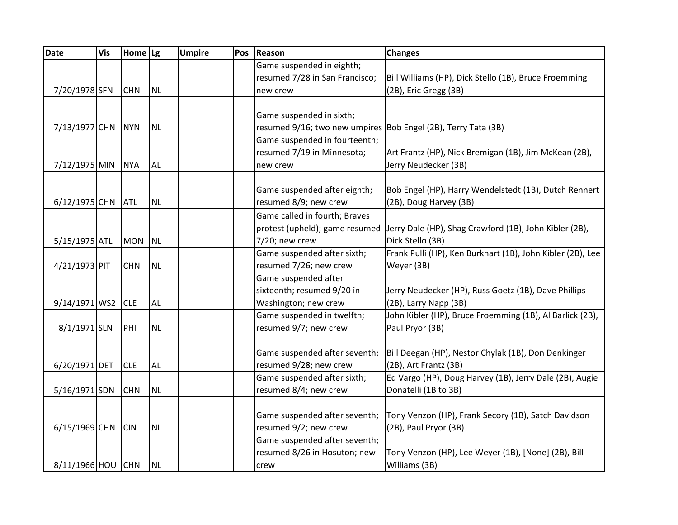| Date              | <b>Vis</b> | Home Lg    |           | <b>Umpire</b> | Pos | Reason                                                        | <b>Changes</b>                                             |
|-------------------|------------|------------|-----------|---------------|-----|---------------------------------------------------------------|------------------------------------------------------------|
|                   |            |            |           |               |     | Game suspended in eighth;                                     |                                                            |
|                   |            |            |           |               |     | resumed 7/28 in San Francisco;                                | Bill Williams (HP), Dick Stello (1B), Bruce Froemming      |
| 7/20/1978 SFN     |            | <b>CHN</b> | <b>NL</b> |               |     | new crew                                                      | (2B), Eric Gregg (3B)                                      |
|                   |            |            |           |               |     |                                                               |                                                            |
|                   |            |            |           |               |     | Game suspended in sixth;                                      |                                                            |
| 7/13/1977 CHN NYN |            |            | <b>NL</b> |               |     | resumed 9/16; two new umpires Bob Engel (2B), Terry Tata (3B) |                                                            |
|                   |            |            |           |               |     | Game suspended in fourteenth;                                 |                                                            |
|                   |            |            |           |               |     | resumed 7/19 in Minnesota;                                    | Art Frantz (HP), Nick Bremigan (1B), Jim McKean (2B),      |
| 7/12/1975 MIN     |            | <b>NYA</b> | <b>AL</b> |               |     | new crew                                                      | Jerry Neudecker (3B)                                       |
|                   |            |            |           |               |     |                                                               |                                                            |
|                   |            |            |           |               |     | Game suspended after eighth;                                  | Bob Engel (HP), Harry Wendelstedt (1B), Dutch Rennert      |
| 6/12/1975 CHN ATL |            |            | <b>NL</b> |               |     | resumed 8/9; new crew                                         | (2B), Doug Harvey (3B)                                     |
|                   |            |            |           |               |     | Game called in fourth; Braves                                 |                                                            |
|                   |            |            |           |               |     | protest (upheld); game resumed                                | Jerry Dale (HP), Shag Crawford (1B), John Kibler (2B),     |
| 5/15/1975 ATL     |            | <b>MON</b> | <b>NL</b> |               |     | 7/20; new crew                                                | Dick Stello (3B)                                           |
|                   |            |            |           |               |     | Game suspended after sixth;                                   | Frank Pulli (HP), Ken Burkhart (1B), John Kibler (2B), Lee |
| 4/21/1973 PIT     |            | <b>CHN</b> | <b>NL</b> |               |     | resumed 7/26; new crew                                        | Weyer (3B)                                                 |
|                   |            |            |           |               |     | Game suspended after                                          |                                                            |
|                   |            |            |           |               |     | sixteenth; resumed 9/20 in                                    | Jerry Neudecker (HP), Russ Goetz (1B), Dave Phillips       |
| 9/14/1971 WS2 CLE |            |            | <b>AL</b> |               |     | Washington; new crew                                          | (2B), Larry Napp (3B)                                      |
|                   |            |            |           |               |     | Game suspended in twelfth;                                    | John Kibler (HP), Bruce Froemming (1B), Al Barlick (2B),   |
| 8/1/1971 SLN      |            | PHI        | <b>NL</b> |               |     | resumed 9/7; new crew                                         | Paul Pryor (3B)                                            |
|                   |            |            |           |               |     |                                                               |                                                            |
|                   |            |            |           |               |     | Game suspended after seventh;                                 | Bill Deegan (HP), Nestor Chylak (1B), Don Denkinger        |
| 6/20/1971 DET     |            | <b>CLE</b> | <b>AL</b> |               |     | resumed 9/28; new crew                                        | (2B), Art Frantz (3B)                                      |
|                   |            |            |           |               |     | Game suspended after sixth;                                   | Ed Vargo (HP), Doug Harvey (1B), Jerry Dale (2B), Augie    |
| $5/16/1971$ SDN   |            | <b>CHN</b> | <b>NL</b> |               |     | resumed 8/4; new crew                                         | Donatelli (1B to 3B)                                       |
|                   |            |            |           |               |     |                                                               |                                                            |
|                   |            |            |           |               |     | Game suspended after seventh;                                 | Tony Venzon (HP), Frank Secory (1B), Satch Davidson        |
| 6/15/1969 CHN     |            | <b>CIN</b> | <b>NL</b> |               |     | resumed 9/2; new crew                                         | (2B), Paul Pryor (3B)                                      |
|                   |            |            |           |               |     | Game suspended after seventh;                                 |                                                            |
|                   |            |            |           |               |     | resumed 8/26 in Hosuton; new                                  | Tony Venzon (HP), Lee Weyer (1B), [None] (2B), Bill        |
| 8/11/1966 HOU CHN |            |            | <b>NL</b> |               |     | crew                                                          | Williams (3B)                                              |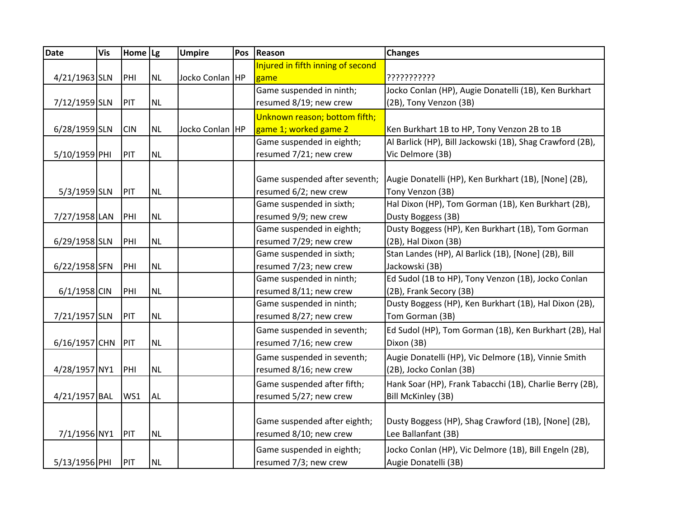| Injured in fifth inning of second<br>Jocko Conlan HP<br>4/21/1963 SLN<br>???????????<br>PHI<br><b>NL</b><br>game<br>Game suspended in ninth;<br>Jocko Conlan (HP), Augie Donatelli (1B), Ken Burkhart<br>7/12/1959 SLN<br>PIT<br><b>NL</b><br>resumed 8/19; new crew<br>(2B), Tony Venzon (3B)<br>Unknown reason; bottom fifth;<br>game 1; worked game 2<br>Jocko Conlan HP<br>Ken Burkhart 1B to HP, Tony Venzon 2B to 1B<br>6/28/1959 SLN<br><b>CIN</b><br><b>NL</b><br>Al Barlick (HP), Bill Jackowski (1B), Shag Crawford (2B),<br>Game suspended in eighth;<br>5/10/1959 PHI<br>PIT<br><b>NL</b><br>resumed 7/21; new crew<br>Vic Delmore (3B)<br>Game suspended after seventh;<br>Augie Donatelli (HP), Ken Burkhart (1B), [None] (2B),<br>5/3/1959 SLN<br>resumed 6/2; new crew<br>PIT<br><b>NL</b><br>Tony Venzon (3B)<br>Game suspended in sixth;<br>Hal Dixon (HP), Tom Gorman (1B), Ken Burkhart (2B),<br>resumed 9/9; new crew<br>Dusty Boggess (3B)<br>7/27/1958 LAN<br>PHI<br><b>NL</b><br>Game suspended in eighth;<br>Dusty Boggess (HP), Ken Burkhart (1B), Tom Gorman<br>6/29/1958 SLN<br>resumed 7/29; new crew<br>PHI<br><b>NL</b><br>(2B), Hal Dixon (3B)<br>Stan Landes (HP), Al Barlick (1B), [None] (2B), Bill<br>Game suspended in sixth;<br>resumed 7/23; new crew<br>6/22/1958 SFN<br><b>NL</b><br>Jackowski (3B)<br>PHI<br>Ed Sudol (1B to HP), Tony Venzon (1B), Jocko Conlan<br>Game suspended in ninth;<br>resumed 8/11; new crew<br>$6/1/1958$ CIN<br>PHI<br><b>NL</b><br>(2B), Frank Secory (3B)<br>Dusty Boggess (HP), Ken Burkhart (1B), Hal Dixon (2B),<br>Game suspended in ninth;<br>7/21/1957 SLN<br>PIT<br><b>NL</b><br>resumed 8/27; new crew<br>Tom Gorman (3B)<br>Game suspended in seventh;<br>Ed Sudol (HP), Tom Gorman (1B), Ken Burkhart (2B), Hal<br>6/16/1957 CHN<br>resumed 7/16; new crew<br>Dixon (3B)<br>PIT<br><b>NL</b><br>Game suspended in seventh;<br>Augie Donatelli (HP), Vic Delmore (1B), Vinnie Smith<br>4/28/1957 NY1<br>resumed 8/16; new crew<br>PHI<br><b>NL</b><br>(2B), Jocko Conlan (3B)<br>Game suspended after fifth;<br>Hank Soar (HP), Frank Tabacchi (1B), Charlie Berry (2B),<br>4/21/1957 BAL<br><b>AL</b><br>resumed 5/27; new crew<br><b>Bill McKinley (3B)</b><br>WS1<br>Game suspended after eighth;<br>Dusty Boggess (HP), Shag Crawford (1B), [None] (2B),<br>7/1/1956 NY1<br>PIT<br>resumed 8/10; new crew<br><b>NL</b><br>Lee Ballanfant (3B)<br>Game suspended in eighth;<br>Jocko Conlan (HP), Vic Delmore (1B), Bill Engeln (2B), | <b>Date</b> | <b>Vis</b> | Home Lg | <b>Umpire</b> | Pos | Reason | <b>Changes</b> |
|---------------------------------------------------------------------------------------------------------------------------------------------------------------------------------------------------------------------------------------------------------------------------------------------------------------------------------------------------------------------------------------------------------------------------------------------------------------------------------------------------------------------------------------------------------------------------------------------------------------------------------------------------------------------------------------------------------------------------------------------------------------------------------------------------------------------------------------------------------------------------------------------------------------------------------------------------------------------------------------------------------------------------------------------------------------------------------------------------------------------------------------------------------------------------------------------------------------------------------------------------------------------------------------------------------------------------------------------------------------------------------------------------------------------------------------------------------------------------------------------------------------------------------------------------------------------------------------------------------------------------------------------------------------------------------------------------------------------------------------------------------------------------------------------------------------------------------------------------------------------------------------------------------------------------------------------------------------------------------------------------------------------------------------------------------------------------------------------------------------------------------------------------------------------------------------------------------------------------------------------------------------------------------------------------------------------------------------------------------------------------------------------------------------------------------------------------------------------------------------------------------------------------|-------------|------------|---------|---------------|-----|--------|----------------|
|                                                                                                                                                                                                                                                                                                                                                                                                                                                                                                                                                                                                                                                                                                                                                                                                                                                                                                                                                                                                                                                                                                                                                                                                                                                                                                                                                                                                                                                                                                                                                                                                                                                                                                                                                                                                                                                                                                                                                                                                                                                                                                                                                                                                                                                                                                                                                                                                                                                                                                                           |             |            |         |               |     |        |                |
|                                                                                                                                                                                                                                                                                                                                                                                                                                                                                                                                                                                                                                                                                                                                                                                                                                                                                                                                                                                                                                                                                                                                                                                                                                                                                                                                                                                                                                                                                                                                                                                                                                                                                                                                                                                                                                                                                                                                                                                                                                                                                                                                                                                                                                                                                                                                                                                                                                                                                                                           |             |            |         |               |     |        |                |
|                                                                                                                                                                                                                                                                                                                                                                                                                                                                                                                                                                                                                                                                                                                                                                                                                                                                                                                                                                                                                                                                                                                                                                                                                                                                                                                                                                                                                                                                                                                                                                                                                                                                                                                                                                                                                                                                                                                                                                                                                                                                                                                                                                                                                                                                                                                                                                                                                                                                                                                           |             |            |         |               |     |        |                |
|                                                                                                                                                                                                                                                                                                                                                                                                                                                                                                                                                                                                                                                                                                                                                                                                                                                                                                                                                                                                                                                                                                                                                                                                                                                                                                                                                                                                                                                                                                                                                                                                                                                                                                                                                                                                                                                                                                                                                                                                                                                                                                                                                                                                                                                                                                                                                                                                                                                                                                                           |             |            |         |               |     |        |                |
|                                                                                                                                                                                                                                                                                                                                                                                                                                                                                                                                                                                                                                                                                                                                                                                                                                                                                                                                                                                                                                                                                                                                                                                                                                                                                                                                                                                                                                                                                                                                                                                                                                                                                                                                                                                                                                                                                                                                                                                                                                                                                                                                                                                                                                                                                                                                                                                                                                                                                                                           |             |            |         |               |     |        |                |
|                                                                                                                                                                                                                                                                                                                                                                                                                                                                                                                                                                                                                                                                                                                                                                                                                                                                                                                                                                                                                                                                                                                                                                                                                                                                                                                                                                                                                                                                                                                                                                                                                                                                                                                                                                                                                                                                                                                                                                                                                                                                                                                                                                                                                                                                                                                                                                                                                                                                                                                           |             |            |         |               |     |        |                |
|                                                                                                                                                                                                                                                                                                                                                                                                                                                                                                                                                                                                                                                                                                                                                                                                                                                                                                                                                                                                                                                                                                                                                                                                                                                                                                                                                                                                                                                                                                                                                                                                                                                                                                                                                                                                                                                                                                                                                                                                                                                                                                                                                                                                                                                                                                                                                                                                                                                                                                                           |             |            |         |               |     |        |                |
|                                                                                                                                                                                                                                                                                                                                                                                                                                                                                                                                                                                                                                                                                                                                                                                                                                                                                                                                                                                                                                                                                                                                                                                                                                                                                                                                                                                                                                                                                                                                                                                                                                                                                                                                                                                                                                                                                                                                                                                                                                                                                                                                                                                                                                                                                                                                                                                                                                                                                                                           |             |            |         |               |     |        |                |
|                                                                                                                                                                                                                                                                                                                                                                                                                                                                                                                                                                                                                                                                                                                                                                                                                                                                                                                                                                                                                                                                                                                                                                                                                                                                                                                                                                                                                                                                                                                                                                                                                                                                                                                                                                                                                                                                                                                                                                                                                                                                                                                                                                                                                                                                                                                                                                                                                                                                                                                           |             |            |         |               |     |        |                |
|                                                                                                                                                                                                                                                                                                                                                                                                                                                                                                                                                                                                                                                                                                                                                                                                                                                                                                                                                                                                                                                                                                                                                                                                                                                                                                                                                                                                                                                                                                                                                                                                                                                                                                                                                                                                                                                                                                                                                                                                                                                                                                                                                                                                                                                                                                                                                                                                                                                                                                                           |             |            |         |               |     |        |                |
|                                                                                                                                                                                                                                                                                                                                                                                                                                                                                                                                                                                                                                                                                                                                                                                                                                                                                                                                                                                                                                                                                                                                                                                                                                                                                                                                                                                                                                                                                                                                                                                                                                                                                                                                                                                                                                                                                                                                                                                                                                                                                                                                                                                                                                                                                                                                                                                                                                                                                                                           |             |            |         |               |     |        |                |
|                                                                                                                                                                                                                                                                                                                                                                                                                                                                                                                                                                                                                                                                                                                                                                                                                                                                                                                                                                                                                                                                                                                                                                                                                                                                                                                                                                                                                                                                                                                                                                                                                                                                                                                                                                                                                                                                                                                                                                                                                                                                                                                                                                                                                                                                                                                                                                                                                                                                                                                           |             |            |         |               |     |        |                |
|                                                                                                                                                                                                                                                                                                                                                                                                                                                                                                                                                                                                                                                                                                                                                                                                                                                                                                                                                                                                                                                                                                                                                                                                                                                                                                                                                                                                                                                                                                                                                                                                                                                                                                                                                                                                                                                                                                                                                                                                                                                                                                                                                                                                                                                                                                                                                                                                                                                                                                                           |             |            |         |               |     |        |                |
|                                                                                                                                                                                                                                                                                                                                                                                                                                                                                                                                                                                                                                                                                                                                                                                                                                                                                                                                                                                                                                                                                                                                                                                                                                                                                                                                                                                                                                                                                                                                                                                                                                                                                                                                                                                                                                                                                                                                                                                                                                                                                                                                                                                                                                                                                                                                                                                                                                                                                                                           |             |            |         |               |     |        |                |
|                                                                                                                                                                                                                                                                                                                                                                                                                                                                                                                                                                                                                                                                                                                                                                                                                                                                                                                                                                                                                                                                                                                                                                                                                                                                                                                                                                                                                                                                                                                                                                                                                                                                                                                                                                                                                                                                                                                                                                                                                                                                                                                                                                                                                                                                                                                                                                                                                                                                                                                           |             |            |         |               |     |        |                |
|                                                                                                                                                                                                                                                                                                                                                                                                                                                                                                                                                                                                                                                                                                                                                                                                                                                                                                                                                                                                                                                                                                                                                                                                                                                                                                                                                                                                                                                                                                                                                                                                                                                                                                                                                                                                                                                                                                                                                                                                                                                                                                                                                                                                                                                                                                                                                                                                                                                                                                                           |             |            |         |               |     |        |                |
|                                                                                                                                                                                                                                                                                                                                                                                                                                                                                                                                                                                                                                                                                                                                                                                                                                                                                                                                                                                                                                                                                                                                                                                                                                                                                                                                                                                                                                                                                                                                                                                                                                                                                                                                                                                                                                                                                                                                                                                                                                                                                                                                                                                                                                                                                                                                                                                                                                                                                                                           |             |            |         |               |     |        |                |
|                                                                                                                                                                                                                                                                                                                                                                                                                                                                                                                                                                                                                                                                                                                                                                                                                                                                                                                                                                                                                                                                                                                                                                                                                                                                                                                                                                                                                                                                                                                                                                                                                                                                                                                                                                                                                                                                                                                                                                                                                                                                                                                                                                                                                                                                                                                                                                                                                                                                                                                           |             |            |         |               |     |        |                |
|                                                                                                                                                                                                                                                                                                                                                                                                                                                                                                                                                                                                                                                                                                                                                                                                                                                                                                                                                                                                                                                                                                                                                                                                                                                                                                                                                                                                                                                                                                                                                                                                                                                                                                                                                                                                                                                                                                                                                                                                                                                                                                                                                                                                                                                                                                                                                                                                                                                                                                                           |             |            |         |               |     |        |                |
|                                                                                                                                                                                                                                                                                                                                                                                                                                                                                                                                                                                                                                                                                                                                                                                                                                                                                                                                                                                                                                                                                                                                                                                                                                                                                                                                                                                                                                                                                                                                                                                                                                                                                                                                                                                                                                                                                                                                                                                                                                                                                                                                                                                                                                                                                                                                                                                                                                                                                                                           |             |            |         |               |     |        |                |
|                                                                                                                                                                                                                                                                                                                                                                                                                                                                                                                                                                                                                                                                                                                                                                                                                                                                                                                                                                                                                                                                                                                                                                                                                                                                                                                                                                                                                                                                                                                                                                                                                                                                                                                                                                                                                                                                                                                                                                                                                                                                                                                                                                                                                                                                                                                                                                                                                                                                                                                           |             |            |         |               |     |        |                |
|                                                                                                                                                                                                                                                                                                                                                                                                                                                                                                                                                                                                                                                                                                                                                                                                                                                                                                                                                                                                                                                                                                                                                                                                                                                                                                                                                                                                                                                                                                                                                                                                                                                                                                                                                                                                                                                                                                                                                                                                                                                                                                                                                                                                                                                                                                                                                                                                                                                                                                                           |             |            |         |               |     |        |                |
|                                                                                                                                                                                                                                                                                                                                                                                                                                                                                                                                                                                                                                                                                                                                                                                                                                                                                                                                                                                                                                                                                                                                                                                                                                                                                                                                                                                                                                                                                                                                                                                                                                                                                                                                                                                                                                                                                                                                                                                                                                                                                                                                                                                                                                                                                                                                                                                                                                                                                                                           |             |            |         |               |     |        |                |
|                                                                                                                                                                                                                                                                                                                                                                                                                                                                                                                                                                                                                                                                                                                                                                                                                                                                                                                                                                                                                                                                                                                                                                                                                                                                                                                                                                                                                                                                                                                                                                                                                                                                                                                                                                                                                                                                                                                                                                                                                                                                                                                                                                                                                                                                                                                                                                                                                                                                                                                           |             |            |         |               |     |        |                |
|                                                                                                                                                                                                                                                                                                                                                                                                                                                                                                                                                                                                                                                                                                                                                                                                                                                                                                                                                                                                                                                                                                                                                                                                                                                                                                                                                                                                                                                                                                                                                                                                                                                                                                                                                                                                                                                                                                                                                                                                                                                                                                                                                                                                                                                                                                                                                                                                                                                                                                                           |             |            |         |               |     |        |                |
|                                                                                                                                                                                                                                                                                                                                                                                                                                                                                                                                                                                                                                                                                                                                                                                                                                                                                                                                                                                                                                                                                                                                                                                                                                                                                                                                                                                                                                                                                                                                                                                                                                                                                                                                                                                                                                                                                                                                                                                                                                                                                                                                                                                                                                                                                                                                                                                                                                                                                                                           |             |            |         |               |     |        |                |
|                                                                                                                                                                                                                                                                                                                                                                                                                                                                                                                                                                                                                                                                                                                                                                                                                                                                                                                                                                                                                                                                                                                                                                                                                                                                                                                                                                                                                                                                                                                                                                                                                                                                                                                                                                                                                                                                                                                                                                                                                                                                                                                                                                                                                                                                                                                                                                                                                                                                                                                           |             |            |         |               |     |        |                |
|                                                                                                                                                                                                                                                                                                                                                                                                                                                                                                                                                                                                                                                                                                                                                                                                                                                                                                                                                                                                                                                                                                                                                                                                                                                                                                                                                                                                                                                                                                                                                                                                                                                                                                                                                                                                                                                                                                                                                                                                                                                                                                                                                                                                                                                                                                                                                                                                                                                                                                                           |             |            |         |               |     |        |                |
|                                                                                                                                                                                                                                                                                                                                                                                                                                                                                                                                                                                                                                                                                                                                                                                                                                                                                                                                                                                                                                                                                                                                                                                                                                                                                                                                                                                                                                                                                                                                                                                                                                                                                                                                                                                                                                                                                                                                                                                                                                                                                                                                                                                                                                                                                                                                                                                                                                                                                                                           |             |            |         |               |     |        |                |
|                                                                                                                                                                                                                                                                                                                                                                                                                                                                                                                                                                                                                                                                                                                                                                                                                                                                                                                                                                                                                                                                                                                                                                                                                                                                                                                                                                                                                                                                                                                                                                                                                                                                                                                                                                                                                                                                                                                                                                                                                                                                                                                                                                                                                                                                                                                                                                                                                                                                                                                           |             |            |         |               |     |        |                |
|                                                                                                                                                                                                                                                                                                                                                                                                                                                                                                                                                                                                                                                                                                                                                                                                                                                                                                                                                                                                                                                                                                                                                                                                                                                                                                                                                                                                                                                                                                                                                                                                                                                                                                                                                                                                                                                                                                                                                                                                                                                                                                                                                                                                                                                                                                                                                                                                                                                                                                                           |             |            |         |               |     |        |                |
| 5/13/1956 PHI<br>resumed 7/3; new crew<br>PIT<br><b>NL</b><br>Augie Donatelli (3B)                                                                                                                                                                                                                                                                                                                                                                                                                                                                                                                                                                                                                                                                                                                                                                                                                                                                                                                                                                                                                                                                                                                                                                                                                                                                                                                                                                                                                                                                                                                                                                                                                                                                                                                                                                                                                                                                                                                                                                                                                                                                                                                                                                                                                                                                                                                                                                                                                                        |             |            |         |               |     |        |                |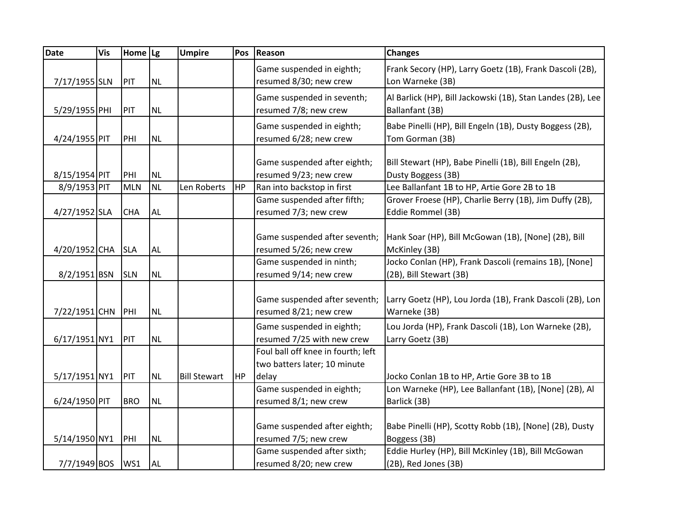| <b>Date</b>   | <b>Vis</b> | Home Lg    |           | <b>Umpire</b>       | Pos       | <b>Reason</b>                                                      | <b>Changes</b>                                                                   |
|---------------|------------|------------|-----------|---------------------|-----------|--------------------------------------------------------------------|----------------------------------------------------------------------------------|
| 7/17/1955 SLN |            | PIT        | <b>NL</b> |                     |           | Game suspended in eighth;<br>resumed 8/30; new crew                | Frank Secory (HP), Larry Goetz (1B), Frank Dascoli (2B),<br>Lon Warneke (3B)     |
| 5/29/1955 PHI |            | PIT        | <b>NL</b> |                     |           | Game suspended in seventh;<br>resumed 7/8; new crew                | Al Barlick (HP), Bill Jackowski (1B), Stan Landes (2B), Lee<br>Ballanfant (3B)   |
| 4/24/1955 PIT |            | PHI        | <b>NL</b> |                     |           | Game suspended in eighth;<br>resumed 6/28; new crew                | Babe Pinelli (HP), Bill Engeln (1B), Dusty Boggess (2B),<br>Tom Gorman (3B)      |
| 8/15/1954 PIT |            | PHI        | <b>NL</b> |                     |           | Game suspended after eighth;<br>resumed 9/23; new crew             | Bill Stewart (HP), Babe Pinelli (1B), Bill Engeln (2B),<br>Dusty Boggess (3B)    |
| 8/9/1953 PIT  |            | <b>MLN</b> | <b>NL</b> | Len Roberts         | <b>HP</b> | Ran into backstop in first                                         | Lee Ballanfant 1B to HP, Artie Gore 2B to 1B                                     |
| 4/27/1952 SLA |            | <b>CHA</b> | <b>AL</b> |                     |           | Game suspended after fifth;<br>resumed 7/3; new crew               | Grover Froese (HP), Charlie Berry (1B), Jim Duffy (2B),<br>Eddie Rommel (3B)     |
| 4/20/1952 CHA |            | <b>SLA</b> | <b>AL</b> |                     |           | Game suspended after seventh;<br>resumed 5/26; new crew            | Hank Soar (HP), Bill McGowan (1B), [None] (2B), Bill<br>McKinley (3B)            |
| 8/2/1951 BSN  |            | <b>SLN</b> | <b>NL</b> |                     |           | Game suspended in ninth;<br>resumed 9/14; new crew                 | Jocko Conlan (HP), Frank Dascoli (remains 1B), [None]<br>(2B), Bill Stewart (3B) |
| 7/22/1951 CHN |            | PHI        | <b>NL</b> |                     |           | Game suspended after seventh;<br>resumed 8/21; new crew            | Larry Goetz (HP), Lou Jorda (1B), Frank Dascoli (2B), Lon<br>Warneke (3B)        |
| 6/17/1951 NY1 |            | PIT        | <b>NL</b> |                     |           | Game suspended in eighth;<br>resumed 7/25 with new crew            | Lou Jorda (HP), Frank Dascoli (1B), Lon Warneke (2B),<br>Larry Goetz (3B)        |
|               |            |            |           |                     |           | Foul ball off knee in fourth; left<br>two batters later; 10 minute |                                                                                  |
| 5/17/1951 NY1 |            | PIT        | <b>NL</b> | <b>Bill Stewart</b> | <b>HP</b> | delay                                                              | Jocko Conlan 1B to HP, Artie Gore 3B to 1B                                       |
| 6/24/1950 PIT |            | <b>BRO</b> | NL        |                     |           | Game suspended in eighth;<br>resumed 8/1; new crew                 | Lon Warneke (HP), Lee Ballanfant (1B), [None] (2B), Al<br>Barlick (3B)           |
| 5/14/1950 NY1 |            | PHI        | <b>NL</b> |                     |           | Game suspended after eighth;<br>resumed 7/5; new crew              | Babe Pinelli (HP), Scotty Robb (1B), [None] (2B), Dusty<br>Boggess (3B)          |
| 7/7/1949 BOS  |            | WS1        | <b>AL</b> |                     |           | Game suspended after sixth;<br>resumed 8/20; new crew              | Eddie Hurley (HP), Bill McKinley (1B), Bill McGowan<br>(2B), Red Jones (3B)      |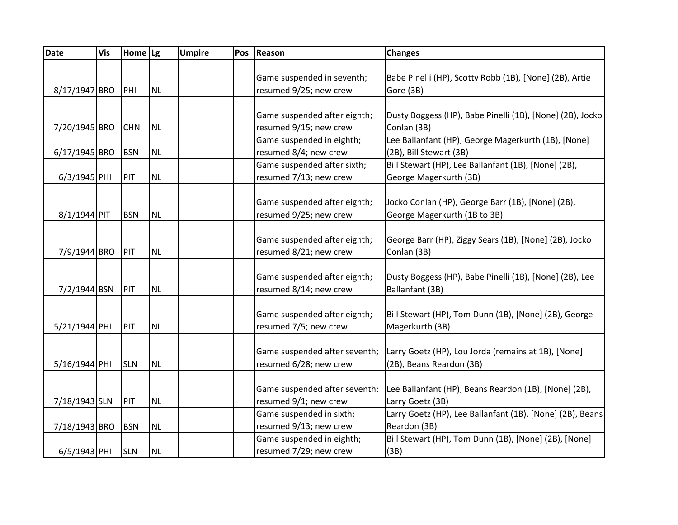| <b>Date</b>   | Vis | Home $\lg$ |           | <b>Umpire</b> | Pos | Reason                        | <b>Changes</b>                                            |
|---------------|-----|------------|-----------|---------------|-----|-------------------------------|-----------------------------------------------------------|
|               |     |            |           |               |     |                               |                                                           |
|               |     |            |           |               |     | Game suspended in seventh;    | Babe Pinelli (HP), Scotty Robb (1B), [None] (2B), Artie   |
| 8/17/1947 BRO |     | PHI        | <b>NL</b> |               |     | resumed 9/25; new crew        | Gore (3B)                                                 |
|               |     |            |           |               |     |                               |                                                           |
|               |     |            |           |               |     | Game suspended after eighth;  | Dusty Boggess (HP), Babe Pinelli (1B), [None] (2B), Jocko |
| 7/20/1945 BRO |     | <b>CHN</b> | <b>NL</b> |               |     | resumed 9/15; new crew        | Conlan (3B)                                               |
|               |     |            |           |               |     | Game suspended in eighth;     | Lee Ballanfant (HP), George Magerkurth (1B), [None]       |
| 6/17/1945 BRO |     | <b>BSN</b> | <b>NL</b> |               |     | resumed 8/4; new crew         | (2B), Bill Stewart (3B)                                   |
|               |     |            |           |               |     | Game suspended after sixth;   | Bill Stewart (HP), Lee Ballanfant (1B), [None] (2B),      |
| 6/3/1945 PHI  |     | PIT        | <b>NL</b> |               |     | resumed 7/13; new crew        | George Magerkurth (3B)                                    |
|               |     |            |           |               |     |                               |                                                           |
|               |     |            |           |               |     | Game suspended after eighth;  | Jocko Conlan (HP), George Barr (1B), [None] (2B),         |
| 8/1/1944 PIT  |     | <b>BSN</b> | <b>NL</b> |               |     | resumed 9/25; new crew        | George Magerkurth (1B to 3B)                              |
|               |     |            |           |               |     |                               |                                                           |
|               |     |            |           |               |     | Game suspended after eighth;  | George Barr (HP), Ziggy Sears (1B), [None] (2B), Jocko    |
| 7/9/1944 BRO  |     | PIT        | <b>NL</b> |               |     | resumed 8/21; new crew        | Conlan (3B)                                               |
|               |     |            |           |               |     |                               |                                                           |
|               |     |            |           |               |     | Game suspended after eighth;  | Dusty Boggess (HP), Babe Pinelli (1B), [None] (2B), Lee   |
| 7/2/1944 BSN  |     | PIT        | <b>NL</b> |               |     | resumed 8/14; new crew        | Ballanfant (3B)                                           |
|               |     |            |           |               |     |                               |                                                           |
|               |     |            |           |               |     | Game suspended after eighth;  | Bill Stewart (HP), Tom Dunn (1B), [None] (2B), George     |
| 5/21/1944 PHI |     | PIT        | <b>NL</b> |               |     | resumed 7/5; new crew         | Magerkurth (3B)                                           |
|               |     |            |           |               |     | Game suspended after seventh; | Larry Goetz (HP), Lou Jorda (remains at 1B), [None]       |
| 5/16/1944 PHI |     | <b>SLN</b> | <b>NL</b> |               |     | resumed 6/28; new crew        | (2B), Beans Reardon (3B)                                  |
|               |     |            |           |               |     |                               |                                                           |
|               |     |            |           |               |     | Game suspended after seventh; | Lee Ballanfant (HP), Beans Reardon (1B), [None] (2B),     |
| 7/18/1943 SLN |     | PIT        | <b>NL</b> |               |     | resumed 9/1; new crew         | Larry Goetz (3B)                                          |
|               |     |            |           |               |     | Game suspended in sixth;      | Larry Goetz (HP), Lee Ballanfant (1B), [None] (2B), Beans |
| 7/18/1943 BRO |     | <b>BSN</b> | <b>NL</b> |               |     | resumed 9/13; new crew        | Reardon (3B)                                              |
|               |     |            |           |               |     | Game suspended in eighth;     | Bill Stewart (HP), Tom Dunn (1B), [None] (2B), [None]     |
| 6/5/1943 PHI  |     | <b>SLN</b> | <b>NL</b> |               |     | resumed 7/29; new crew        | (3B)                                                      |
|               |     |            |           |               |     |                               |                                                           |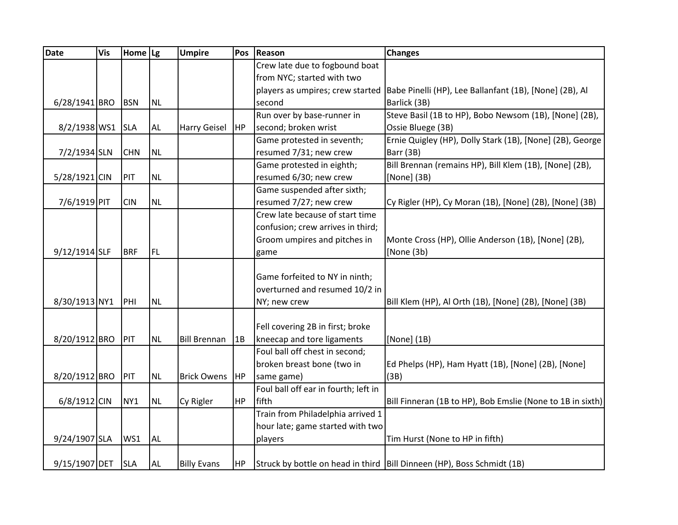| Date             | <b>Vis</b> | Home   Lg       |           | <b>Umpire</b>       | Pos       | Reason                               | <b>Changes</b>                                                                           |
|------------------|------------|-----------------|-----------|---------------------|-----------|--------------------------------------|------------------------------------------------------------------------------------------|
|                  |            |                 |           |                     |           | Crew late due to fogbound boat       |                                                                                          |
|                  |            |                 |           |                     |           | from NYC; started with two           |                                                                                          |
|                  |            |                 |           |                     |           |                                      | players as umpires; crew started Babe Pinelli (HP), Lee Ballanfant (1B), [None] (2B), Al |
| 6/28/1941 BRO    |            | <b>BSN</b>      | <b>NL</b> |                     |           | second                               | Barlick (3B)                                                                             |
|                  |            |                 |           |                     |           | Run over by base-runner in           | Steve Basil (1B to HP), Bobo Newsom (1B), [None] (2B),                                   |
| 8/2/1938 WS1 SLA |            |                 | <b>AL</b> | <b>Harry Geisel</b> | HP        | second; broken wrist                 | Ossie Bluege (3B)                                                                        |
|                  |            |                 |           |                     |           | Game protested in seventh;           | Ernie Quigley (HP), Dolly Stark (1B), [None] (2B), George                                |
| 7/2/1934 SLN     |            | <b>CHN</b>      | <b>NL</b> |                     |           | resumed 7/31; new crew               | Barr (3B)                                                                                |
|                  |            |                 |           |                     |           | Game protested in eighth;            | Bill Brennan (remains HP), Bill Klem (1B), [None] (2B),                                  |
| 5/28/1921 CIN    |            | PIT             | <b>NL</b> |                     |           | resumed 6/30; new crew               | [None] (3B)                                                                              |
|                  |            |                 |           |                     |           | Game suspended after sixth;          |                                                                                          |
| 7/6/1919 PIT     |            | <b>CIN</b>      | <b>NL</b> |                     |           | resumed 7/27; new crew               | Cy Rigler (HP), Cy Moran (1B), [None] (2B), [None] (3B)                                  |
|                  |            |                 |           |                     |           | Crew late because of start time      |                                                                                          |
|                  |            |                 |           |                     |           | confusion; crew arrives in third;    |                                                                                          |
|                  |            |                 |           |                     |           | Groom umpires and pitches in         | Monte Cross (HP), Ollie Anderson (1B), [None] (2B),                                      |
| 9/12/1914 SLF    |            | <b>BRF</b>      | FL        |                     |           | game                                 | [None $(3b)$                                                                             |
|                  |            |                 |           |                     |           |                                      |                                                                                          |
|                  |            |                 |           |                     |           | Game forfeited to NY in ninth;       |                                                                                          |
|                  |            |                 |           |                     |           | overturned and resumed 10/2 in       |                                                                                          |
| 8/30/1913 NY1    |            | PHI             | <b>NL</b> |                     |           | NY; new crew                         | Bill Klem (HP), Al Orth (1B), [None] (2B), [None] (3B)                                   |
|                  |            |                 |           |                     |           |                                      |                                                                                          |
|                  |            |                 |           |                     |           | Fell covering 2B in first; broke     |                                                                                          |
| 8/20/1912 BRO    |            | PIT             | <b>NL</b> | <b>Bill Brennan</b> | 1B        | kneecap and tore ligaments           | [None] (1B)                                                                              |
|                  |            |                 |           |                     |           | Foul ball off chest in second;       |                                                                                          |
|                  |            |                 |           |                     |           | broken breast bone (two in           | Ed Phelps (HP), Ham Hyatt (1B), [None] (2B), [None]                                      |
| 8/20/1912 BRO    |            | PIT             | <b>NL</b> | <b>Brick Owens</b>  | HP        | same game)                           | (3B)                                                                                     |
|                  |            |                 |           |                     |           | Foul ball off ear in fourth; left in |                                                                                          |
| 6/8/1912 CIN     |            | NY <sub>1</sub> | <b>NL</b> | Cy Rigler           | <b>HP</b> | fifth                                | Bill Finneran (1B to HP), Bob Emslie (None to 1B in sixth)                               |
|                  |            |                 |           |                     |           | Train from Philadelphia arrived 1    |                                                                                          |
|                  |            |                 |           |                     |           | hour late; game started with two     |                                                                                          |
| 9/24/1907 SLA    |            | WS1             | <b>AL</b> |                     |           | players                              | Tim Hurst (None to HP in fifth)                                                          |
|                  |            |                 |           |                     |           |                                      |                                                                                          |
| 9/15/1907 DET    |            | <b>SLA</b>      | <b>AL</b> | <b>Billy Evans</b>  | <b>HP</b> |                                      | Struck by bottle on head in third   Bill Dinneen (HP), Boss Schmidt (1B)                 |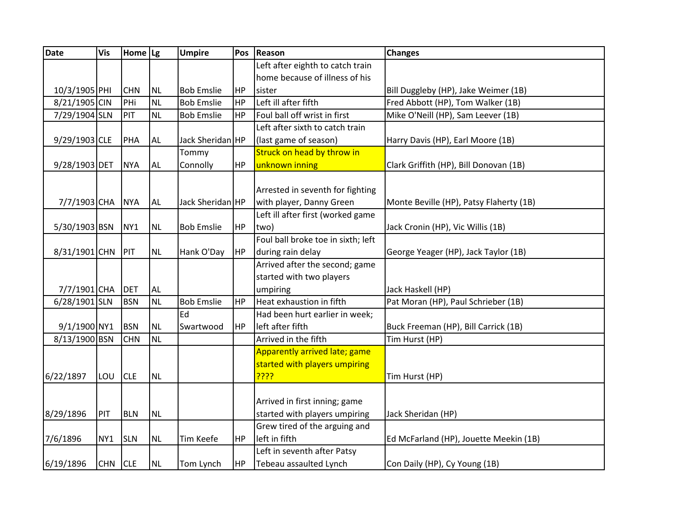| <b>Date</b>   | <b>Vis</b> | Home $\lg$      |           | <b>Umpire</b>     | Pos       | Reason                             | Changes                                 |
|---------------|------------|-----------------|-----------|-------------------|-----------|------------------------------------|-----------------------------------------|
|               |            |                 |           |                   |           | Left after eighth to catch train   |                                         |
|               |            |                 |           |                   |           | home because of illness of his     |                                         |
| 10/3/1905 PHI |            | <b>CHN</b>      | <b>NL</b> | <b>Bob Emslie</b> | HP        | sister                             | Bill Duggleby (HP), Jake Weimer (1B)    |
| 8/21/1905 CIN |            | PHi             | <b>NL</b> | <b>Bob Emslie</b> | <b>HP</b> | Left ill after fifth               | Fred Abbott (HP), Tom Walker (1B)       |
| 7/29/1904 SLN |            | PIT             | <b>NL</b> | <b>Bob Emslie</b> | HP        | Foul ball off wrist in first       | Mike O'Neill (HP), Sam Leever (1B)      |
|               |            |                 |           |                   |           | Left after sixth to catch train    |                                         |
| 9/29/1903 CLE |            | PHA             | <b>AL</b> | Jack Sheridan HP  |           | (last game of season)              | Harry Davis (HP), Earl Moore (1B)       |
|               |            |                 |           | Tommy             |           | Struck on head by throw in         |                                         |
| 9/28/1903 DET |            | <b>NYA</b>      | <b>AL</b> | Connolly          | HP        | unknown inning                     | Clark Griffith (HP), Bill Donovan (1B)  |
|               |            |                 |           |                   |           |                                    |                                         |
|               |            |                 |           |                   |           | Arrested in seventh for fighting   |                                         |
| 7/7/1903 CHA  |            | <b>NYA</b>      | <b>AL</b> | Jack Sheridan HP  |           | with player, Danny Green           | Monte Beville (HP), Patsy Flaherty (1B) |
|               |            |                 |           |                   |           | Left ill after first (worked game  |                                         |
| 5/30/1903 BSN |            | NY <sub>1</sub> | <b>NL</b> | <b>Bob Emslie</b> | HP        | two)                               | Jack Cronin (HP), Vic Willis (1B)       |
|               |            |                 |           |                   |           | Foul ball broke toe in sixth; left |                                         |
| 8/31/1901 CHN |            | PIT             | <b>NL</b> | Hank O'Day        | HP        | during rain delay                  | George Yeager (HP), Jack Taylor (1B)    |
|               |            |                 |           |                   |           | Arrived after the second; game     |                                         |
|               |            |                 |           |                   |           | started with two players           |                                         |
| 7/7/1901 CHA  |            | <b>DET</b>      | <b>AL</b> |                   |           | umpiring                           | Jack Haskell (HP)                       |
| 6/28/1901 SLN |            | <b>BSN</b>      | <b>NL</b> | <b>Bob Emslie</b> | HP        | Heat exhaustion in fifth           | Pat Moran (HP), Paul Schrieber (1B)     |
|               |            |                 |           | Ed                |           | Had been hurt earlier in week;     |                                         |
| 9/1/1900 NY1  |            | <b>BSN</b>      | <b>NL</b> | Swartwood         | <b>HP</b> | left after fifth                   | Buck Freeman (HP), Bill Carrick (1B)    |
| 8/13/1900 BSN |            | <b>CHN</b>      | <b>NL</b> |                   |           | Arrived in the fifth               | Tim Hurst (HP)                          |
|               |            |                 |           |                   |           | Apparently arrived late; game      |                                         |
|               |            |                 |           |                   |           | started with players umpiring      |                                         |
| 6/22/1897     | LOU        | <b>CLE</b>      | <b>NL</b> |                   |           | <u>????</u>                        | Tim Hurst (HP)                          |
|               |            |                 |           |                   |           |                                    |                                         |
|               |            |                 |           |                   |           | Arrived in first inning; game      |                                         |
| 8/29/1896     | PIT        | <b>BLN</b>      | <b>NL</b> |                   |           | started with players umpiring      | Jack Sheridan (HP)                      |
|               |            |                 |           |                   |           | Grew tired of the arguing and      |                                         |
| 7/6/1896      | NY1        | <b>SLN</b>      | <b>NL</b> | <b>Tim Keefe</b>  | HP)       | left in fifth                      | Ed McFarland (HP), Jouette Meekin (1B)  |
|               |            |                 |           |                   |           | Left in seventh after Patsy        |                                         |
| 6/19/1896     | <b>CHN</b> | <b>CLE</b>      | <b>NL</b> | Tom Lynch         | HP        | Tebeau assaulted Lynch             | Con Daily (HP), Cy Young (1B)           |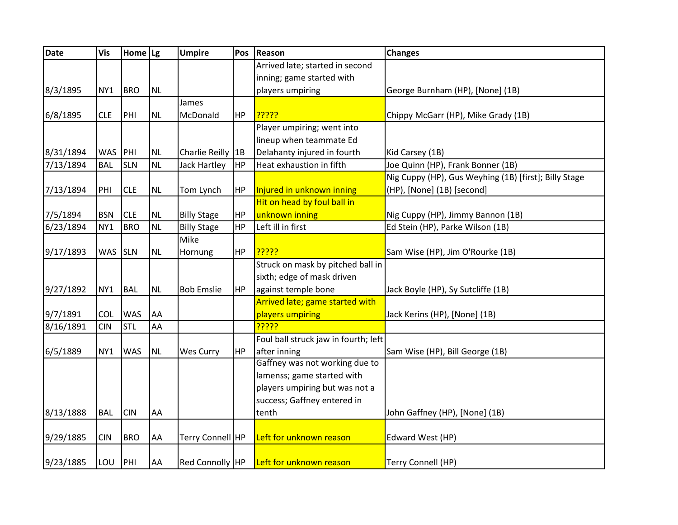| <b>Date</b> | <b>Vis</b>      | Home   Lg  |           | <b>Umpire</b>      | Pos | <b>Reason</b>                        | <b>Changes</b>                                        |
|-------------|-----------------|------------|-----------|--------------------|-----|--------------------------------------|-------------------------------------------------------|
|             |                 |            |           |                    |     | Arrived late; started in second      |                                                       |
|             |                 |            |           |                    |     | inning; game started with            |                                                       |
| 8/3/1895    | NY <sub>1</sub> | <b>BRO</b> | <b>NL</b> |                    |     | players umpiring                     | George Burnham (HP), [None] (1B)                      |
|             |                 |            |           | James              |     |                                      |                                                       |
| 6/8/1895    | <b>CLE</b>      | PHI        | <b>NL</b> | McDonald           | HP  | <mark>ַיִּיִּיְיִי</mark>            | Chippy McGarr (HP), Mike Grady (1B)                   |
|             |                 |            |           |                    |     | Player umpiring; went into           |                                                       |
|             |                 |            |           |                    |     | lineup when teammate Ed              |                                                       |
| 8/31/1894   | WAS PHI         |            | <b>NL</b> | Charlie Reilly  1B |     | Delahanty injured in fourth          | Kid Carsey (1B)                                       |
| 7/13/1894   | <b>BAL</b>      | <b>SLN</b> | <b>NL</b> | Jack Hartley       | HP  | Heat exhaustion in fifth             | Joe Quinn (HP), Frank Bonner (1B)                     |
|             |                 |            |           |                    |     |                                      | Nig Cuppy (HP), Gus Weyhing (1B) [first]; Billy Stage |
| 7/13/1894   | PHI             | <b>CLE</b> | <b>NL</b> | Tom Lynch          | HP  | Injured in unknown inning            | (HP), [None] (1B) [second]                            |
|             |                 |            |           |                    |     | Hit on head by foul ball in          |                                                       |
| 7/5/1894    | <b>BSN</b>      | <b>CLE</b> | <b>NL</b> | <b>Billy Stage</b> | HP  | unknown inning                       | Nig Cuppy (HP), Jimmy Bannon (1B)                     |
| 6/23/1894   | NY1             | <b>BRO</b> | <b>NL</b> | <b>Billy Stage</b> | HP  | Left ill in first                    | Ed Stein (HP), Parke Wilson (1B)                      |
|             |                 |            |           | Mike               |     |                                      |                                                       |
| 9/17/1893   | WAS SLN         |            | <b>NL</b> | Hornung            | HP  | <mark>?????</mark>                   | Sam Wise (HP), Jim O'Rourke (1B)                      |
|             |                 |            |           |                    |     | Struck on mask by pitched ball in    |                                                       |
|             |                 |            |           |                    |     | sixth; edge of mask driven           |                                                       |
| 9/27/1892   | NY1             | <b>BAL</b> | <b>NL</b> | <b>Bob Emslie</b>  | HP  | against temple bone                  | Jack Boyle (HP), Sy Sutcliffe (1B)                    |
|             |                 |            |           |                    |     | Arrived late; game started with      |                                                       |
| 9/7/1891    | <b>COL</b>      | <b>WAS</b> | AA        |                    |     | players umpiring                     | Jack Kerins (HP), [None] (1B)                         |
| 8/16/1891   | <b>CIN</b>      | <b>STL</b> | AA        |                    |     | <mark>?????</mark>                   |                                                       |
|             |                 |            |           |                    |     | Foul ball struck jaw in fourth; left |                                                       |
| 6/5/1889    | NY1             | <b>WAS</b> | <b>NL</b> | Wes Curry          | HP  | after inning                         | Sam Wise (HP), Bill George (1B)                       |
|             |                 |            |           |                    |     | Gaffney was not working due to       |                                                       |
|             |                 |            |           |                    |     | lamenss; game started with           |                                                       |
|             |                 |            |           |                    |     | players umpiring but was not a       |                                                       |
|             |                 |            |           |                    |     | success; Gaffney entered in          |                                                       |
| 8/13/1888   | <b>BAL</b>      | <b>CIN</b> | AA        |                    |     | tenth                                | John Gaffney (HP), [None] (1B)                        |
|             |                 |            |           |                    |     |                                      |                                                       |
| 9/29/1885   | <b>CIN</b>      | <b>BRO</b> | AA        | Terry Connell HP   |     | Left for unknown reason              | Edward West (HP)                                      |
|             |                 |            |           |                    |     |                                      |                                                       |
| 9/23/1885   | LOU             | PH         | AA        | Red Connolly HP    |     | Left for unknown reason              | Terry Connell (HP)                                    |